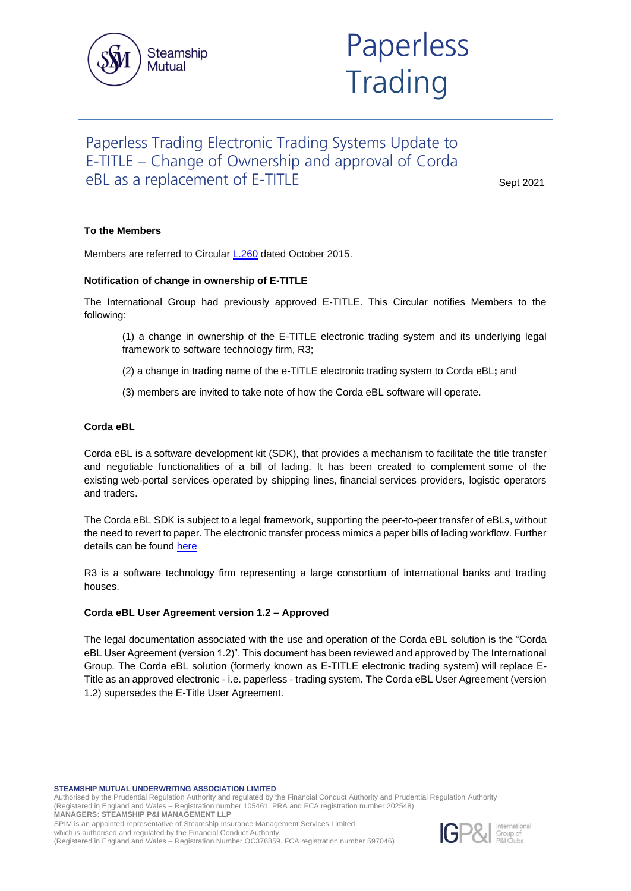

# Paperless Trading Electronic Trading Systems Update to E-TITLE – Change of Ownership and approval of Corda eBL as a replacement of E-TITLE

Sept 2021

## **To the Members**

Members are referred to Circular [L.260](https://www.steamshipmutual.com/Circulars-London/L.260.pdf) dated October 2015.

### **Notification of change in ownership of E-TITLE**

The International Group had previously approved E-TITLE. This Circular notifies Members to the following:

- (1) a change in ownership of the E-TITLE electronic trading system and its underlying legal framework to software technology firm, R3;
- (2) a change in trading name of the e-TITLE electronic trading system to Corda eBL**;** and
- (3) members are invited to take note of how the Corda eBL software will operate.

### **Corda eBL**

Corda eBL is a software development kit (SDK), that provides a mechanism to facilitate the title transfer and negotiable functionalities of a bill of lading. It has been created to complement some of the existing web-portal services operated by shipping lines, financial services providers, logistic operators and traders.

The Corda eBL SDK is subject to a legal framework, supporting the peer-to-peer transfer of eBLs, without the need to revert to paper. The electronic transfer process mimics a paper bills of lading workflow. Further details can be found [here](https://www.r3.com/corda-ebl/)

R3 is a software technology firm representing a large consortium of international banks and trading houses.

### **Corda eBL User Agreement version 1.2 – Approved**

The legal documentation associated with the use and operation of the Corda eBL solution is the "Corda eBL User Agreement (version 1.2)". This document has been reviewed and approved by The International Group. The Corda eBL solution (formerly known as E-TITLE electronic trading system) will replace E-Title as an approved electronic - i.e. paperless - trading system. The Corda eBL User Agreement (version 1.2) supersedes the E-Title User Agreement.

**STEAMSHIP MUTUAL UNDERWRITING ASSOCIATION LIMITED**

Authorised by the Prudential Regulation Authority and regulated by the Financial Conduct Authority and Prudential Regulation Authority (Registered in England and Wales – Registration number 105461. PRA and FCA registration number 202548)

**MANAGERS: STEAMSHIP P&I MANAGEMENT LLP**

SPIM is an appointed representative of Steamship Insurance Management Services Limited which is authorised and regulated by the Financial Conduct Authority

(Registered in England and Wales – Registration Number OC376859. FCA registration number 597046)